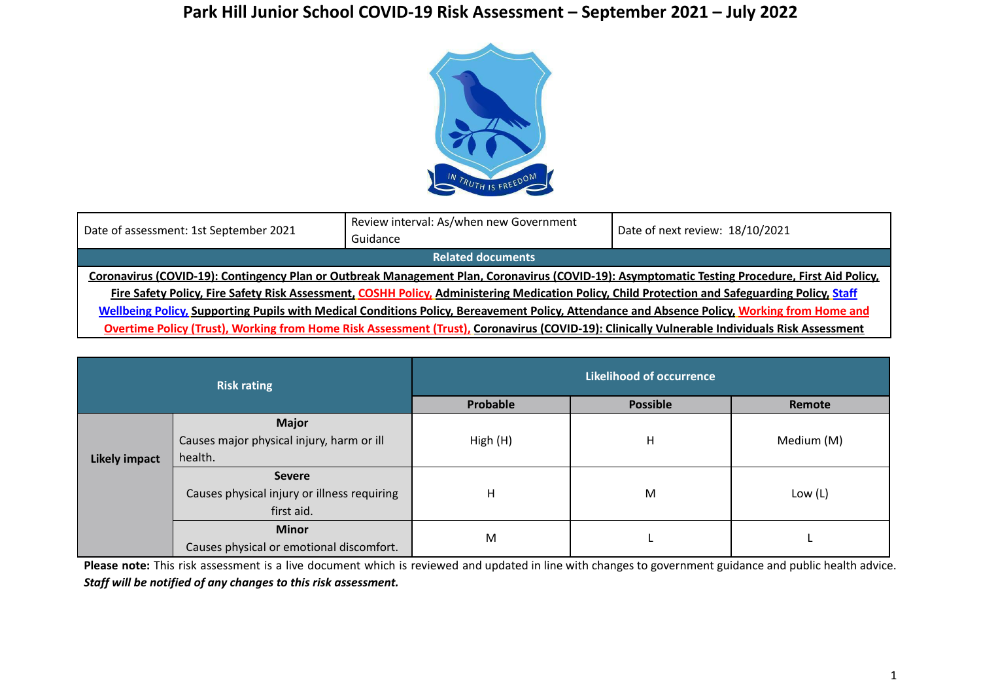## **Park Hill Junior School COVID-19 Risk Assessment – September 2021 – July 2022**



| Date of assessment: 1st September 2021                                                                                                          | Review interval: As/when new Government<br>Guidance                                                                                             | Date of next review: 18/10/2021 |  |  |  |  |
|-------------------------------------------------------------------------------------------------------------------------------------------------|-------------------------------------------------------------------------------------------------------------------------------------------------|---------------------------------|--|--|--|--|
| <b>Related documents</b>                                                                                                                        |                                                                                                                                                 |                                 |  |  |  |  |
| Coronavirus (COVID-19): Contingency Plan or Outbreak Management Plan, Coronavirus (COVID-19): Asymptomatic Testing Procedure, First Aid Policy, |                                                                                                                                                 |                                 |  |  |  |  |
|                                                                                                                                                 | Fire Safety Policy, Fire Safety Risk Assessment, COSHH Policy, Administering Medication Policy, Child Protection and Safeguarding Policy, Staff |                                 |  |  |  |  |
| Wellbeing Policy, Supporting Pupils with Medical Conditions Policy, Bereavement Policy, Attendance and Absence Policy, Working from Home and    |                                                                                                                                                 |                                 |  |  |  |  |
| Overtime Policy (Trust), Working from Home Risk Assessment (Trust), Coronavirus (COVID-19): Clinically Vulnerable Individuals Risk Assessment   |                                                                                                                                                 |                                 |  |  |  |  |

| <b>Risk rating</b>   |                                             | <b>Likelihood of occurrence</b> |                 |            |  |
|----------------------|---------------------------------------------|---------------------------------|-----------------|------------|--|
|                      |                                             | Probable                        | <b>Possible</b> | Remote     |  |
|                      | <b>Major</b>                                |                                 |                 |            |  |
|                      | Causes major physical injury, harm or ill   | High (H)                        | н               | Medium (M) |  |
| <b>Likely impact</b> | health.                                     |                                 |                 |            |  |
|                      | <b>Severe</b>                               |                                 |                 |            |  |
|                      | Causes physical injury or illness requiring | н                               | M               | Low $(L)$  |  |
|                      | first aid.                                  |                                 |                 |            |  |
|                      | <b>Minor</b>                                |                                 |                 |            |  |
|                      | Causes physical or emotional discomfort.    | M                               |                 |            |  |

**Please note:** This risk assessment is a live document which is reviewed and updated in line with changes to government guidance and public health advice. *Staff will be notified of any changes to this risk assessment.*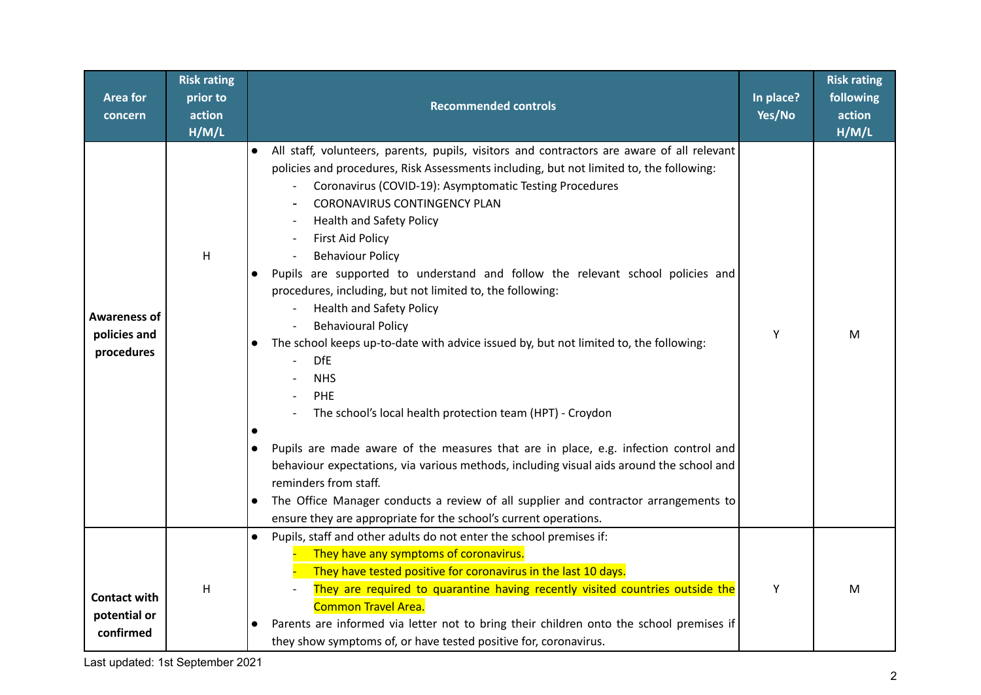| Area for<br>concern                               | <b>Risk rating</b><br>prior to<br>action<br>H/M/L | <b>Recommended controls</b>                                                                                                                                                                                                                                                                                                                                                                                                                                                                                                                                                                                                                                                                                                                                                                                                                                                                                                                                                                                                                                                                                                                                                                            | In place?<br>Yes/No | <b>Risk rating</b><br>following<br>action<br>H/M/L |
|---------------------------------------------------|---------------------------------------------------|--------------------------------------------------------------------------------------------------------------------------------------------------------------------------------------------------------------------------------------------------------------------------------------------------------------------------------------------------------------------------------------------------------------------------------------------------------------------------------------------------------------------------------------------------------------------------------------------------------------------------------------------------------------------------------------------------------------------------------------------------------------------------------------------------------------------------------------------------------------------------------------------------------------------------------------------------------------------------------------------------------------------------------------------------------------------------------------------------------------------------------------------------------------------------------------------------------|---------------------|----------------------------------------------------|
| <b>Awareness of</b><br>policies and<br>procedures | H                                                 | All staff, volunteers, parents, pupils, visitors and contractors are aware of all relevant<br>policies and procedures, Risk Assessments including, but not limited to, the following:<br>Coronavirus (COVID-19): Asymptomatic Testing Procedures<br><b>CORONAVIRUS CONTINGENCY PLAN</b><br><b>Health and Safety Policy</b><br><b>First Aid Policy</b><br><b>Behaviour Policy</b><br>Pupils are supported to understand and follow the relevant school policies and<br>$\bullet$<br>procedures, including, but not limited to, the following:<br><b>Health and Safety Policy</b><br><b>Behavioural Policy</b><br>The school keeps up-to-date with advice issued by, but not limited to, the following:<br>$\bullet$<br><b>DfE</b><br><b>NHS</b><br>PHE<br>The school's local health protection team (HPT) - Croydon<br>Pupils are made aware of the measures that are in place, e.g. infection control and<br>behaviour expectations, via various methods, including visual aids around the school and<br>reminders from staff.<br>The Office Manager conducts a review of all supplier and contractor arrangements to<br>$\bullet$<br>ensure they are appropriate for the school's current operations. | Y                   | M                                                  |
| <b>Contact with</b><br>potential or<br>confirmed  | H                                                 | Pupils, staff and other adults do not enter the school premises if:<br>They have any symptoms of coronavirus.<br>They have tested positive for coronavirus in the last 10 days.<br>They are required to quarantine having recently visited countries outside the<br><b>Common Travel Area.</b><br>Parents are informed via letter not to bring their children onto the school premises if<br>they show symptoms of, or have tested positive for, coronavirus.                                                                                                                                                                                                                                                                                                                                                                                                                                                                                                                                                                                                                                                                                                                                          | Y                   | M                                                  |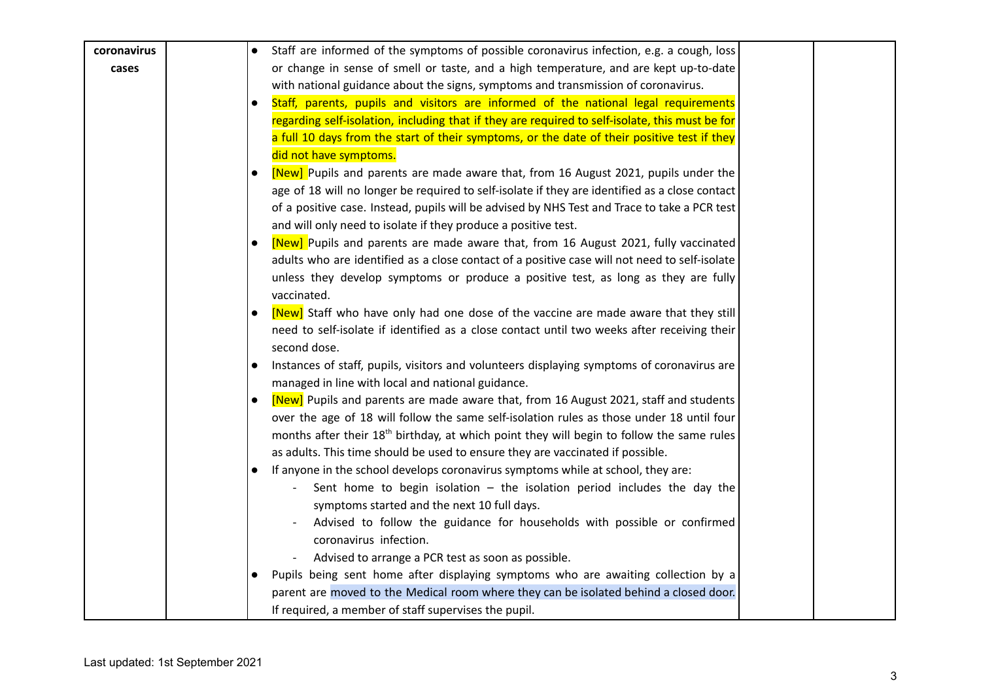| coronavirus | Staff are informed of the symptoms of possible coronavirus infection, e.g. a cough, loss              |
|-------------|-------------------------------------------------------------------------------------------------------|
| cases       | or change in sense of smell or taste, and a high temperature, and are kept up-to-date                 |
|             | with national guidance about the signs, symptoms and transmission of coronavirus.                     |
|             | Staff, parents, pupils and visitors are informed of the national legal requirements                   |
|             | regarding self-isolation, including that if they are required to self-isolate, this must be for       |
|             | a full 10 days from the start of their symptoms, or the date of their positive test if they           |
|             | did not have symptoms.                                                                                |
|             | [New] Pupils and parents are made aware that, from 16 August 2021, pupils under the                   |
|             | age of 18 will no longer be required to self-isolate if they are identified as a close contact        |
|             | of a positive case. Instead, pupils will be advised by NHS Test and Trace to take a PCR test          |
|             | and will only need to isolate if they produce a positive test.                                        |
|             | [New] Pupils and parents are made aware that, from 16 August 2021, fully vaccinated                   |
|             | adults who are identified as a close contact of a positive case will not need to self-isolate         |
|             | unless they develop symptoms or produce a positive test, as long as they are fully                    |
|             | vaccinated.                                                                                           |
|             | [New] Staff who have only had one dose of the vaccine are made aware that they still                  |
|             | need to self-isolate if identified as a close contact until two weeks after receiving their           |
|             | second dose.                                                                                          |
|             | Instances of staff, pupils, visitors and volunteers displaying symptoms of coronavirus are            |
|             | managed in line with local and national guidance.                                                     |
|             | [New] Pupils and parents are made aware that, from 16 August 2021, staff and students                 |
|             | over the age of 18 will follow the same self-isolation rules as those under 18 until four             |
|             | months after their 18 <sup>th</sup> birthday, at which point they will begin to follow the same rules |
|             | as adults. This time should be used to ensure they are vaccinated if possible.                        |
|             | If anyone in the school develops coronavirus symptoms while at school, they are:                      |
|             | Sent home to begin isolation $-$ the isolation period includes the day the                            |
|             | symptoms started and the next 10 full days.                                                           |
|             | Advised to follow the guidance for households with possible or confirmed                              |
|             | coronavirus infection.                                                                                |
|             | Advised to arrange a PCR test as soon as possible.                                                    |
|             | Pupils being sent home after displaying symptoms who are awaiting collection by a                     |
|             | parent are moved to the Medical room where they can be isolated behind a closed door.                 |
|             | If required, a member of staff supervises the pupil.                                                  |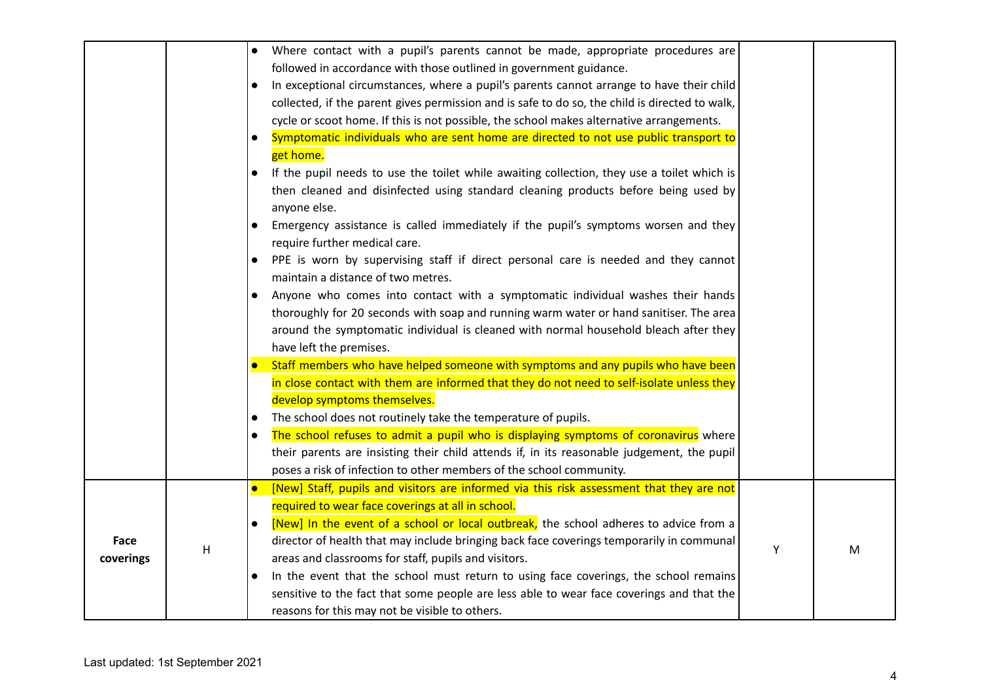|           |   | Where contact with a pupil's parents cannot be made, appropriate procedures are<br>$\bullet$            |   |   |
|-----------|---|---------------------------------------------------------------------------------------------------------|---|---|
|           |   | followed in accordance with those outlined in government guidance.                                      |   |   |
|           |   | In exceptional circumstances, where a pupil's parents cannot arrange to have their child                |   |   |
|           |   | collected, if the parent gives permission and is safe to do so, the child is directed to walk,          |   |   |
|           |   | cycle or scoot home. If this is not possible, the school makes alternative arrangements.                |   |   |
|           |   | Symptomatic individuals who are sent home are directed to not use public transport to<br>$\bullet$      |   |   |
|           |   | get home.                                                                                               |   |   |
|           |   | If the pupil needs to use the toilet while awaiting collection, they use a toilet which is<br>$\bullet$ |   |   |
|           |   | then cleaned and disinfected using standard cleaning products before being used by                      |   |   |
|           |   | anyone else.                                                                                            |   |   |
|           |   | Emergency assistance is called immediately if the pupil's symptoms worsen and they                      |   |   |
|           |   | require further medical care.                                                                           |   |   |
|           |   | PPE is worn by supervising staff if direct personal care is needed and they cannot<br>$\bullet$         |   |   |
|           |   | maintain a distance of two metres.                                                                      |   |   |
|           |   | Anyone who comes into contact with a symptomatic individual washes their hands                          |   |   |
|           |   | thoroughly for 20 seconds with soap and running warm water or hand sanitiser. The area                  |   |   |
|           |   | around the symptomatic individual is cleaned with normal household bleach after they                    |   |   |
|           |   | have left the premises.                                                                                 |   |   |
|           |   | Staff members who have helped someone with symptoms and any pupils who have been                        |   |   |
|           |   | in close contact with them are informed that they do not need to self-isolate unless they               |   |   |
|           |   | develop symptoms themselves.                                                                            |   |   |
|           |   | The school does not routinely take the temperature of pupils.<br>$\bullet$                              |   |   |
|           |   | The school refuses to admit a pupil who is displaying symptoms of coronavirus where<br>$\bullet$        |   |   |
|           |   | their parents are insisting their child attends if, in its reasonable judgement, the pupil              |   |   |
|           |   | poses a risk of infection to other members of the school community.                                     |   |   |
|           |   | [New] Staff, pupils and visitors are informed via this risk assessment that they are not<br>$\bullet$   |   |   |
|           |   | required to wear face coverings at all in school.                                                       |   |   |
|           |   | [New] In the event of a school or local outbreak, the school adheres to advice from a<br>$\bullet$      |   |   |
| Face      |   | director of health that may include bringing back face coverings temporarily in communal                |   |   |
| coverings | H | areas and classrooms for staff, pupils and visitors.                                                    | Y | M |
|           |   | In the event that the school must return to using face coverings, the school remains<br>$\bullet$       |   |   |
|           |   | sensitive to the fact that some people are less able to wear face coverings and that the                |   |   |
|           |   | reasons for this may not be visible to others.                                                          |   |   |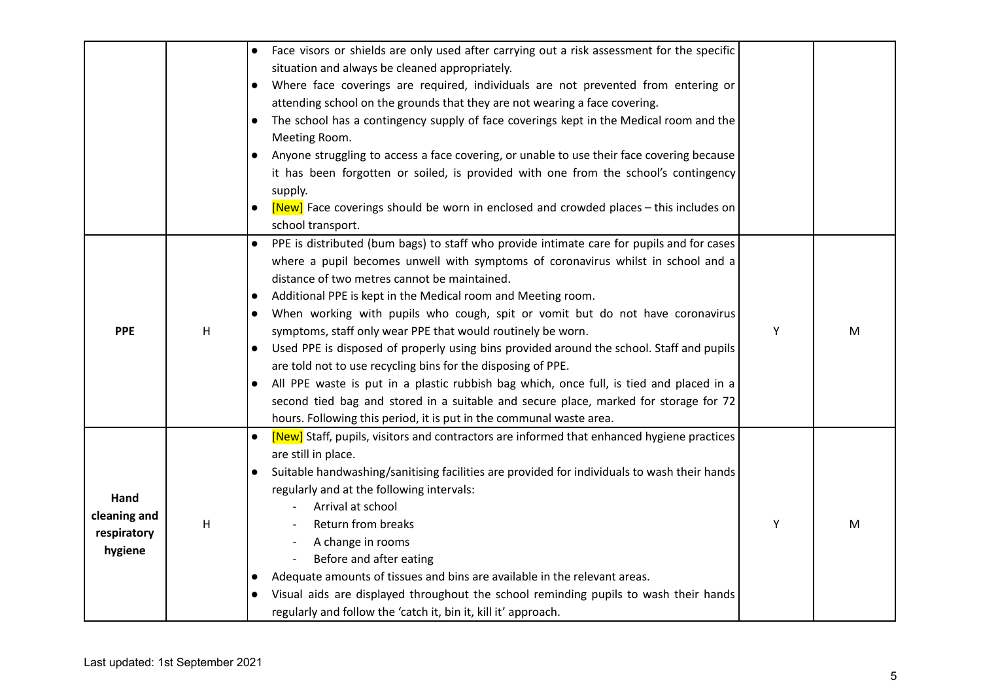|                        |   | Face visors or shields are only used after carrying out a risk assessment for the specific<br>$\bullet$<br>situation and always be cleaned appropriately.<br>Where face coverings are required, individuals are not prevented from entering or<br>$\bullet$<br>attending school on the grounds that they are not wearing a face covering. |   |   |
|------------------------|---|-------------------------------------------------------------------------------------------------------------------------------------------------------------------------------------------------------------------------------------------------------------------------------------------------------------------------------------------|---|---|
|                        |   | The school has a contingency supply of face coverings kept in the Medical room and the<br>$\bullet$                                                                                                                                                                                                                                       |   |   |
|                        |   | Meeting Room.                                                                                                                                                                                                                                                                                                                             |   |   |
|                        |   | Anyone struggling to access a face covering, or unable to use their face covering because                                                                                                                                                                                                                                                 |   |   |
|                        |   | it has been forgotten or soiled, is provided with one from the school's contingency<br>supply.                                                                                                                                                                                                                                            |   |   |
|                        |   | [New] Face coverings should be worn in enclosed and crowded places – this includes on<br>$\bullet$<br>school transport.                                                                                                                                                                                                                   |   |   |
|                        |   | PPE is distributed (bum bags) to staff who provide intimate care for pupils and for cases<br>$\bullet$                                                                                                                                                                                                                                    |   |   |
|                        |   | where a pupil becomes unwell with symptoms of coronavirus whilst in school and a                                                                                                                                                                                                                                                          |   |   |
|                        |   | distance of two metres cannot be maintained.                                                                                                                                                                                                                                                                                              |   |   |
|                        | H | Additional PPE is kept in the Medical room and Meeting room.<br>$\bullet$                                                                                                                                                                                                                                                                 |   |   |
|                        |   | When working with pupils who cough, spit or vomit but do not have coronavirus<br>$\bullet$                                                                                                                                                                                                                                                |   |   |
| <b>PPE</b>             |   | symptoms, staff only wear PPE that would routinely be worn.                                                                                                                                                                                                                                                                               | Υ | M |
|                        |   | Used PPE is disposed of properly using bins provided around the school. Staff and pupils                                                                                                                                                                                                                                                  |   |   |
|                        |   | are told not to use recycling bins for the disposing of PPE.                                                                                                                                                                                                                                                                              |   |   |
|                        |   | All PPE waste is put in a plastic rubbish bag which, once full, is tied and placed in a<br>$\bullet$                                                                                                                                                                                                                                      |   |   |
|                        |   | second tied bag and stored in a suitable and secure place, marked for storage for 72                                                                                                                                                                                                                                                      |   |   |
|                        |   | hours. Following this period, it is put in the communal waste area.                                                                                                                                                                                                                                                                       |   |   |
|                        |   | [New] Staff, pupils, visitors and contractors are informed that enhanced hygiene practices<br>$\bullet$                                                                                                                                                                                                                                   |   |   |
|                        |   | are still in place.                                                                                                                                                                                                                                                                                                                       |   |   |
|                        |   | Suitable handwashing/sanitising facilities are provided for individuals to wash their hands<br>$\bullet$                                                                                                                                                                                                                                  |   |   |
| Hand                   |   | regularly and at the following intervals:                                                                                                                                                                                                                                                                                                 |   |   |
| cleaning and           |   | Arrival at school                                                                                                                                                                                                                                                                                                                         |   |   |
|                        | Н | Return from breaks                                                                                                                                                                                                                                                                                                                        | Y | M |
| respiratory<br>hygiene |   | A change in rooms                                                                                                                                                                                                                                                                                                                         |   |   |
|                        |   | Before and after eating                                                                                                                                                                                                                                                                                                                   |   |   |
|                        |   | Adequate amounts of tissues and bins are available in the relevant areas.<br>$\bullet$                                                                                                                                                                                                                                                    |   |   |
|                        |   | Visual aids are displayed throughout the school reminding pupils to wash their hands<br>$\bullet$                                                                                                                                                                                                                                         |   |   |
|                        |   | regularly and follow the 'catch it, bin it, kill it' approach.                                                                                                                                                                                                                                                                            |   |   |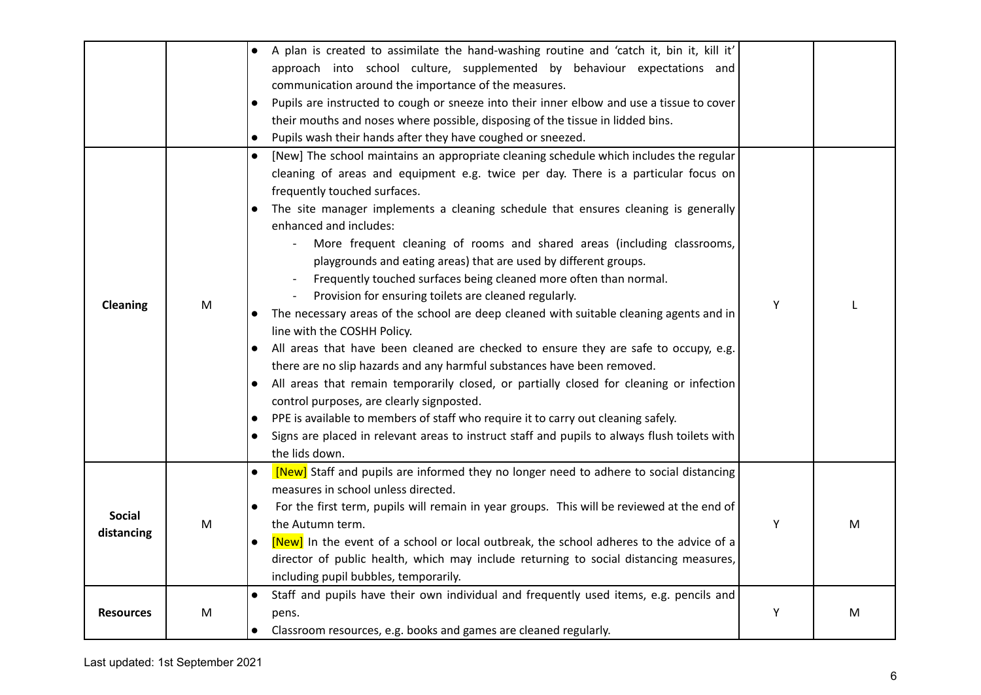|                             |   | A plan is created to assimilate the hand-washing routine and 'catch it, bin it, kill it'<br>$\bullet$<br>approach into school culture, supplemented by behaviour expectations and<br>communication around the importance of the measures.<br>Pupils are instructed to cough or sneeze into their inner elbow and use a tissue to cover<br>their mouths and noses where possible, disposing of the tissue in lidded bins.<br>Pupils wash their hands after they have coughed or sneezed.<br>$\bullet$                                                                                                                                                                                                                                                                                                                                                                                                                                                                                                                                                                                                                                                                                                                                                                                                      |   |   |
|-----------------------------|---|-----------------------------------------------------------------------------------------------------------------------------------------------------------------------------------------------------------------------------------------------------------------------------------------------------------------------------------------------------------------------------------------------------------------------------------------------------------------------------------------------------------------------------------------------------------------------------------------------------------------------------------------------------------------------------------------------------------------------------------------------------------------------------------------------------------------------------------------------------------------------------------------------------------------------------------------------------------------------------------------------------------------------------------------------------------------------------------------------------------------------------------------------------------------------------------------------------------------------------------------------------------------------------------------------------------|---|---|
| Cleaning                    | M | [New] The school maintains an appropriate cleaning schedule which includes the regular<br>$\bullet$<br>cleaning of areas and equipment e.g. twice per day. There is a particular focus on<br>frequently touched surfaces.<br>The site manager implements a cleaning schedule that ensures cleaning is generally<br>enhanced and includes:<br>More frequent cleaning of rooms and shared areas (including classrooms,<br>playgrounds and eating areas) that are used by different groups.<br>Frequently touched surfaces being cleaned more often than normal.<br>Provision for ensuring toilets are cleaned regularly.<br>The necessary areas of the school are deep cleaned with suitable cleaning agents and in<br>line with the COSHH Policy.<br>All areas that have been cleaned are checked to ensure they are safe to occupy, e.g.<br>$\bullet$<br>there are no slip hazards and any harmful substances have been removed.<br>All areas that remain temporarily closed, or partially closed for cleaning or infection<br>control purposes, are clearly signposted.<br>PPE is available to members of staff who require it to carry out cleaning safely.<br>$\bullet$<br>Signs are placed in relevant areas to instruct staff and pupils to always flush toilets with<br>$\bullet$<br>the lids down. | Υ |   |
| <b>Social</b><br>distancing | M | [New] Staff and pupils are informed they no longer need to adhere to social distancing<br>$\bullet$<br>measures in school unless directed.<br>For the first term, pupils will remain in year groups. This will be reviewed at the end of<br>$\bullet$<br>the Autumn term.<br>[New] In the event of a school or local outbreak, the school adheres to the advice of a<br>$\bullet$<br>director of public health, which may include returning to social distancing measures,<br>including pupil bubbles, temporarily.                                                                                                                                                                                                                                                                                                                                                                                                                                                                                                                                                                                                                                                                                                                                                                                       | Y | M |
| <b>Resources</b>            | M | Staff and pupils have their own individual and frequently used items, e.g. pencils and<br>$\bullet$<br>pens.<br>Classroom resources, e.g. books and games are cleaned regularly.<br>$\bullet$                                                                                                                                                                                                                                                                                                                                                                                                                                                                                                                                                                                                                                                                                                                                                                                                                                                                                                                                                                                                                                                                                                             | Υ | M |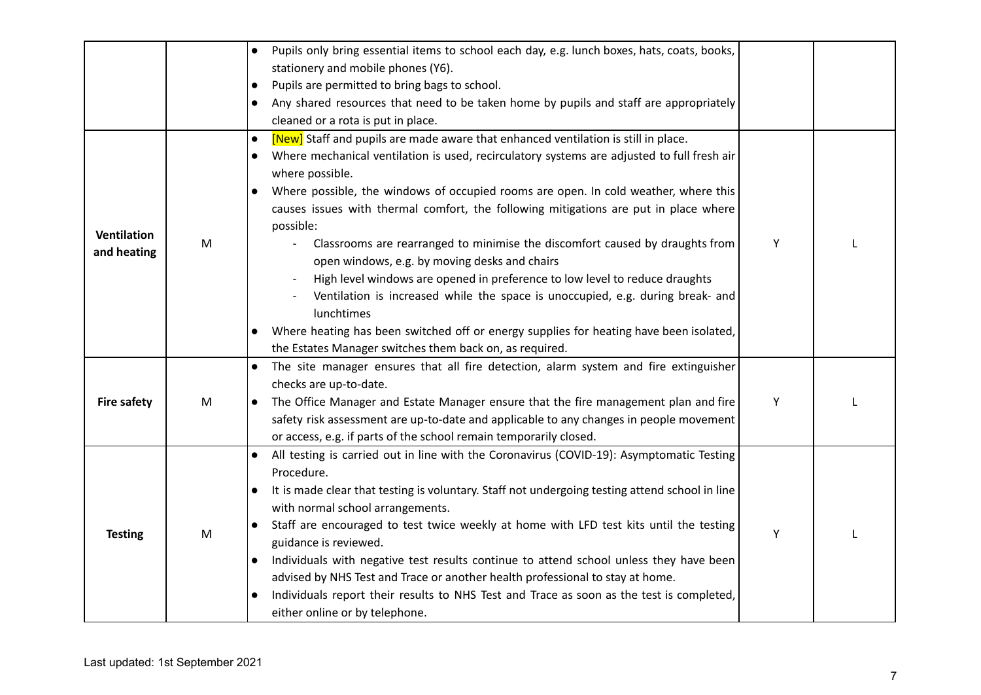|                                   |           | Pupils only bring essential items to school each day, e.g. lunch boxes, hats, coats, books,                                                                                                                                                                                                                                                                                                                                                                                                                                                                                                                                                                                                                                  |   |  |
|-----------------------------------|-----------|------------------------------------------------------------------------------------------------------------------------------------------------------------------------------------------------------------------------------------------------------------------------------------------------------------------------------------------------------------------------------------------------------------------------------------------------------------------------------------------------------------------------------------------------------------------------------------------------------------------------------------------------------------------------------------------------------------------------------|---|--|
|                                   |           | stationery and mobile phones (Y6).                                                                                                                                                                                                                                                                                                                                                                                                                                                                                                                                                                                                                                                                                           |   |  |
|                                   |           | Pupils are permitted to bring bags to school.<br>$\bullet$                                                                                                                                                                                                                                                                                                                                                                                                                                                                                                                                                                                                                                                                   |   |  |
|                                   |           | Any shared resources that need to be taken home by pupils and staff are appropriately                                                                                                                                                                                                                                                                                                                                                                                                                                                                                                                                                                                                                                        |   |  |
|                                   |           | cleaned or a rota is put in place.                                                                                                                                                                                                                                                                                                                                                                                                                                                                                                                                                                                                                                                                                           |   |  |
| <b>Ventilation</b><br>and heating | M         | [New] Staff and pupils are made aware that enhanced ventilation is still in place.<br>$\bullet$<br>Where mechanical ventilation is used, recirculatory systems are adjusted to full fresh air<br>where possible.<br>Where possible, the windows of occupied rooms are open. In cold weather, where this<br>$\bullet$<br>causes issues with thermal comfort, the following mitigations are put in place where<br>possible:<br>Classrooms are rearranged to minimise the discomfort caused by draughts from<br>open windows, e.g. by moving desks and chairs<br>High level windows are opened in preference to low level to reduce draughts<br>Ventilation is increased while the space is unoccupied, e.g. during break- and  | Y |  |
|                                   |           | lunchtimes<br>Where heating has been switched off or energy supplies for heating have been isolated,<br>the Estates Manager switches them back on, as required.                                                                                                                                                                                                                                                                                                                                                                                                                                                                                                                                                              |   |  |
| <b>Fire safety</b>                | ${\sf M}$ | The site manager ensures that all fire detection, alarm system and fire extinguisher<br>checks are up-to-date.<br>The Office Manager and Estate Manager ensure that the fire management plan and fire<br>$\bullet$<br>safety risk assessment are up-to-date and applicable to any changes in people movement<br>or access, e.g. if parts of the school remain temporarily closed.                                                                                                                                                                                                                                                                                                                                            | Υ |  |
| <b>Testing</b>                    | ${\sf M}$ | All testing is carried out in line with the Coronavirus (COVID-19): Asymptomatic Testing<br>$\bullet$<br>Procedure.<br>It is made clear that testing is voluntary. Staff not undergoing testing attend school in line<br>with normal school arrangements.<br>Staff are encouraged to test twice weekly at home with LFD test kits until the testing<br>$\bullet$<br>guidance is reviewed.<br>Individuals with negative test results continue to attend school unless they have been<br>$\bullet$<br>advised by NHS Test and Trace or another health professional to stay at home.<br>Individuals report their results to NHS Test and Trace as soon as the test is completed,<br>$\bullet$<br>either online or by telephone. | Υ |  |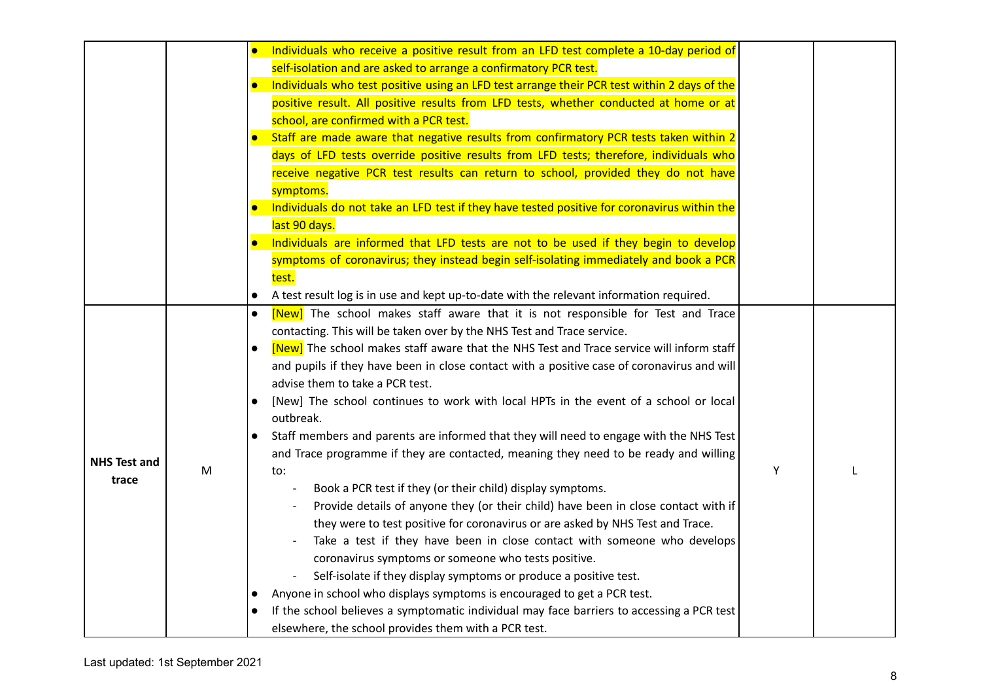|                     |   | Individuals who receive a positive result from an LFD test complete a 10-day period of                         |   |  |
|---------------------|---|----------------------------------------------------------------------------------------------------------------|---|--|
|                     |   | self-isolation and are asked to arrange a confirmatory PCR test.                                               |   |  |
|                     |   | Individuals who test positive using an LFD test arrange their PCR test within 2 days of the                    |   |  |
|                     |   | positive result. All positive results from LFD tests, whether conducted at home or at                          |   |  |
|                     |   | school, are confirmed with a PCR test.                                                                         |   |  |
|                     |   | Staff are made aware that negative results from confirmatory PCR tests taken within 2                          |   |  |
|                     |   | days of LFD tests override positive results from LFD tests; therefore, individuals who                         |   |  |
|                     |   | receive negative PCR test results can return to school, provided they do not have                              |   |  |
|                     |   | symptoms.                                                                                                      |   |  |
|                     |   | Individuals do not take an LFD test if they have tested positive for coronavirus within the                    |   |  |
|                     |   | last 90 days.                                                                                                  |   |  |
|                     |   | Individuals are informed that LFD tests are not to be used if they begin to develop                            |   |  |
|                     |   | symptoms of coronavirus; they instead begin self-isolating immediately and book a PCR                          |   |  |
|                     |   | test.                                                                                                          |   |  |
|                     |   | A test result log is in use and kept up-to-date with the relevant information required.<br>$\bullet$           |   |  |
|                     |   | [New] The school makes staff aware that it is not responsible for Test and Trace<br>$\bullet$                  |   |  |
|                     |   | contacting. This will be taken over by the NHS Test and Trace service.                                         |   |  |
|                     |   | [New] The school makes staff aware that the NHS Test and Trace service will inform staff                       |   |  |
|                     |   | and pupils if they have been in close contact with a positive case of coronavirus and will                     |   |  |
|                     |   | advise them to take a PCR test.                                                                                |   |  |
|                     |   | [New] The school continues to work with local HPTs in the event of a school or local<br>$\bullet$<br>outbreak. |   |  |
|                     |   | Staff members and parents are informed that they will need to engage with the NHS Test                         |   |  |
| <b>NHS Test and</b> |   | and Trace programme if they are contacted, meaning they need to be ready and willing                           |   |  |
| trace               | M | to:                                                                                                            | Υ |  |
|                     |   | Book a PCR test if they (or their child) display symptoms.<br>$\overline{\phantom{a}}$                         |   |  |
|                     |   | Provide details of anyone they (or their child) have been in close contact with if                             |   |  |
|                     |   | they were to test positive for coronavirus or are asked by NHS Test and Trace.                                 |   |  |
|                     |   | Take a test if they have been in close contact with someone who develops                                       |   |  |
|                     |   | coronavirus symptoms or someone who tests positive.                                                            |   |  |
|                     |   | Self-isolate if they display symptoms or produce a positive test.                                              |   |  |
|                     |   | Anyone in school who displays symptoms is encouraged to get a PCR test.<br>$\bullet$                           |   |  |
|                     |   | If the school believes a symptomatic individual may face barriers to accessing a PCR test                      |   |  |
|                     |   | elsewhere, the school provides them with a PCR test.                                                           |   |  |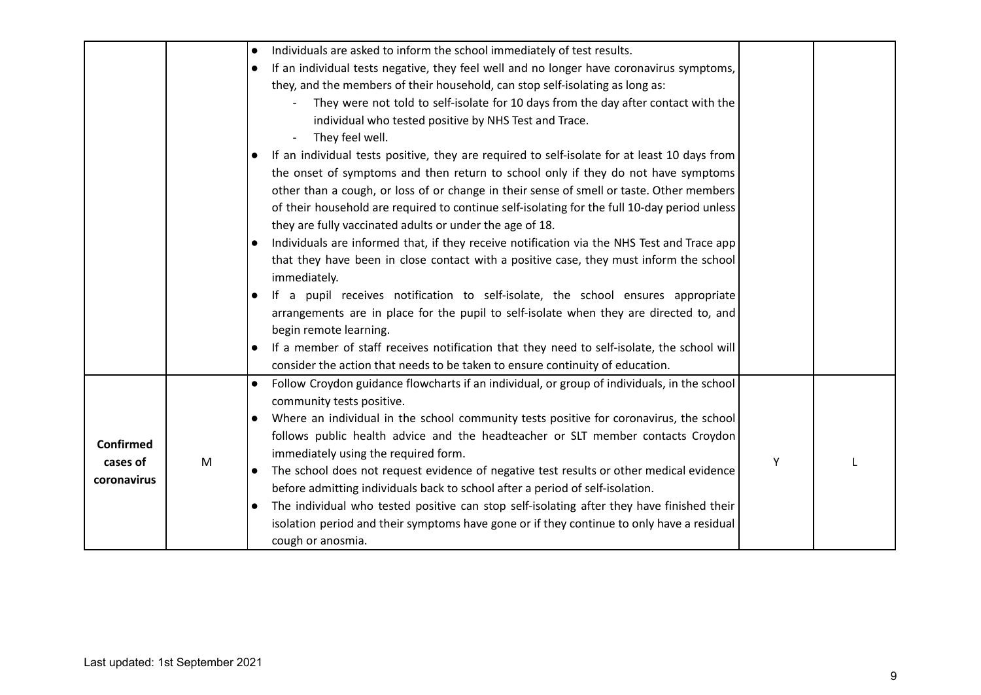|                                             |   | Individuals are asked to inform the school immediately of test results.<br>$\bullet$<br>If an individual tests negative, they feel well and no longer have coronavirus symptoms,<br>they, and the members of their household, can stop self-isolating as long as:<br>They were not told to self-isolate for 10 days from the day after contact with the<br>$\overline{a}$<br>individual who tested positive by NHS Test and Trace.<br>They feel well.<br>If an individual tests positive, they are required to self-isolate for at least 10 days from<br>the onset of symptoms and then return to school only if they do not have symptoms<br>other than a cough, or loss of or change in their sense of smell or taste. Other members<br>of their household are required to continue self-isolating for the full 10-day period unless<br>they are fully vaccinated adults or under the age of 18.<br>Individuals are informed that, if they receive notification via the NHS Test and Trace app<br>that they have been in close contact with a positive case, they must inform the school<br>immediately.<br>If a pupil receives notification to self-isolate, the school ensures appropriate<br>$\bullet$<br>arrangements are in place for the pupil to self-isolate when they are directed to, and<br>begin remote learning. |   |  |
|---------------------------------------------|---|---------------------------------------------------------------------------------------------------------------------------------------------------------------------------------------------------------------------------------------------------------------------------------------------------------------------------------------------------------------------------------------------------------------------------------------------------------------------------------------------------------------------------------------------------------------------------------------------------------------------------------------------------------------------------------------------------------------------------------------------------------------------------------------------------------------------------------------------------------------------------------------------------------------------------------------------------------------------------------------------------------------------------------------------------------------------------------------------------------------------------------------------------------------------------------------------------------------------------------------------------------------------------------------------------------------------------------|---|--|
|                                             |   | If a member of staff receives notification that they need to self-isolate, the school will<br>consider the action that needs to be taken to ensure continuity of education.                                                                                                                                                                                                                                                                                                                                                                                                                                                                                                                                                                                                                                                                                                                                                                                                                                                                                                                                                                                                                                                                                                                                                     |   |  |
| <b>Confirmed</b><br>cases of<br>coronavirus | M | Follow Croydon guidance flowcharts if an individual, or group of individuals, in the school<br>$\bullet$<br>community tests positive.<br>Where an individual in the school community tests positive for coronavirus, the school<br>$\bullet$<br>follows public health advice and the headteacher or SLT member contacts Croydon<br>immediately using the required form.<br>The school does not request evidence of negative test results or other medical evidence<br>$\bullet$<br>before admitting individuals back to school after a period of self-isolation.<br>The individual who tested positive can stop self-isolating after they have finished their<br>isolation period and their symptoms have gone or if they continue to only have a residual<br>cough or anosmia.                                                                                                                                                                                                                                                                                                                                                                                                                                                                                                                                                 | Y |  |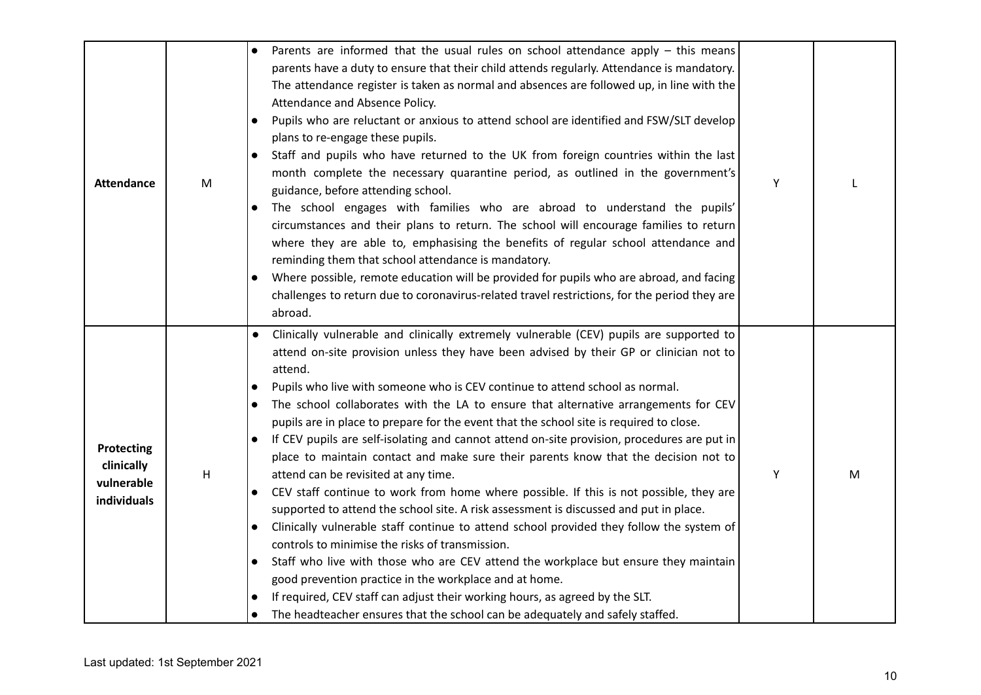| <b>Attendance</b>                                     | M | Parents are informed that the usual rules on school attendance apply – this means<br>parents have a duty to ensure that their child attends regularly. Attendance is mandatory.<br>The attendance register is taken as normal and absences are followed up, in line with the<br>Attendance and Absence Policy.<br>Pupils who are reluctant or anxious to attend school are identified and FSW/SLT develop<br>$\bullet$<br>plans to re-engage these pupils.<br>Staff and pupils who have returned to the UK from foreign countries within the last<br>month complete the necessary quarantine period, as outlined in the government's<br>guidance, before attending school.<br>The school engages with families who are abroad to understand the pupils'<br>$\bullet$<br>circumstances and their plans to return. The school will encourage families to return<br>where they are able to, emphasising the benefits of regular school attendance and<br>reminding them that school attendance is mandatory.<br>Where possible, remote education will be provided for pupils who are abroad, and facing<br>$\bullet$<br>challenges to return due to coronavirus-related travel restrictions, for the period they are<br>abroad.                                                                                                                                                                                                                             | Υ |   |
|-------------------------------------------------------|---|----------------------------------------------------------------------------------------------------------------------------------------------------------------------------------------------------------------------------------------------------------------------------------------------------------------------------------------------------------------------------------------------------------------------------------------------------------------------------------------------------------------------------------------------------------------------------------------------------------------------------------------------------------------------------------------------------------------------------------------------------------------------------------------------------------------------------------------------------------------------------------------------------------------------------------------------------------------------------------------------------------------------------------------------------------------------------------------------------------------------------------------------------------------------------------------------------------------------------------------------------------------------------------------------------------------------------------------------------------------------------------------------------------------------------------------------------------|---|---|
| Protecting<br>clinically<br>vulnerable<br>individuals | H | Clinically vulnerable and clinically extremely vulnerable (CEV) pupils are supported to<br>$\bullet$<br>attend on-site provision unless they have been advised by their GP or clinician not to<br>attend.<br>Pupils who live with someone who is CEV continue to attend school as normal.<br>$\bullet$<br>The school collaborates with the LA to ensure that alternative arrangements for CEV<br>$\bullet$<br>pupils are in place to prepare for the event that the school site is required to close.<br>If CEV pupils are self-isolating and cannot attend on-site provision, procedures are put in<br>$\bullet$<br>place to maintain contact and make sure their parents know that the decision not to<br>attend can be revisited at any time.<br>CEV staff continue to work from home where possible. If this is not possible, they are<br>$\bullet$<br>supported to attend the school site. A risk assessment is discussed and put in place.<br>Clinically vulnerable staff continue to attend school provided they follow the system of<br>$\bullet$<br>controls to minimise the risks of transmission.<br>Staff who live with those who are CEV attend the workplace but ensure they maintain<br>$\bullet$<br>good prevention practice in the workplace and at home.<br>If required, CEV staff can adjust their working hours, as agreed by the SLT.<br>The headteacher ensures that the school can be adequately and safely staffed.<br>$\bullet$ | Υ | M |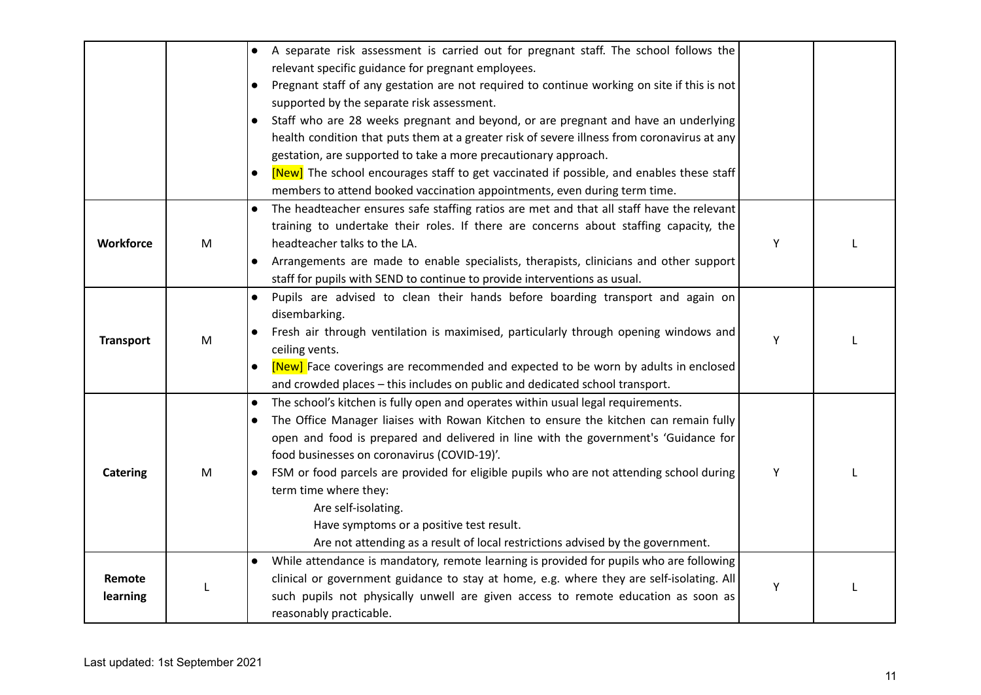|                  |   | A separate risk assessment is carried out for pregnant staff. The school follows the<br>$\bullet$        |   |  |
|------------------|---|----------------------------------------------------------------------------------------------------------|---|--|
|                  |   | relevant specific guidance for pregnant employees.                                                       |   |  |
|                  |   | Pregnant staff of any gestation are not required to continue working on site if this is not<br>$\bullet$ |   |  |
|                  |   | supported by the separate risk assessment.                                                               |   |  |
|                  |   | Staff who are 28 weeks pregnant and beyond, or are pregnant and have an underlying<br>$\bullet$          |   |  |
|                  |   | health condition that puts them at a greater risk of severe illness from coronavirus at any              |   |  |
|                  |   | gestation, are supported to take a more precautionary approach.                                          |   |  |
|                  |   | [New] The school encourages staff to get vaccinated if possible, and enables these staff                 |   |  |
|                  |   | members to attend booked vaccination appointments, even during term time.                                |   |  |
|                  |   | The headteacher ensures safe staffing ratios are met and that all staff have the relevant<br>$\bullet$   |   |  |
|                  |   | training to undertake their roles. If there are concerns about staffing capacity, the                    |   |  |
| Workforce        | M | headteacher talks to the LA.                                                                             | Υ |  |
|                  |   | Arrangements are made to enable specialists, therapists, clinicians and other support<br>$\bullet$       |   |  |
|                  |   | staff for pupils with SEND to continue to provide interventions as usual.                                |   |  |
|                  |   | Pupils are advised to clean their hands before boarding transport and again on                           |   |  |
|                  |   | disembarking.                                                                                            |   |  |
| <b>Transport</b> | M | Fresh air through ventilation is maximised, particularly through opening windows and                     | Y |  |
|                  |   | ceiling vents.                                                                                           |   |  |
|                  |   | [New] Face coverings are recommended and expected to be worn by adults in enclosed                       |   |  |
|                  |   | and crowded places - this includes on public and dedicated school transport.                             |   |  |
|                  |   | The school's kitchen is fully open and operates within usual legal requirements.<br>$\bullet$            |   |  |
|                  |   | The Office Manager liaises with Rowan Kitchen to ensure the kitchen can remain fully                     |   |  |
|                  |   | open and food is prepared and delivered in line with the government's 'Guidance for                      |   |  |
|                  |   | food businesses on coronavirus (COVID-19)'.                                                              |   |  |
| <b>Catering</b>  | M | FSM or food parcels are provided for eligible pupils who are not attending school during<br>$\bullet$    | Y |  |
|                  |   | term time where they:                                                                                    |   |  |
|                  |   | Are self-isolating.                                                                                      |   |  |
|                  |   | Have symptoms or a positive test result.                                                                 |   |  |
|                  |   | Are not attending as a result of local restrictions advised by the government.                           |   |  |
|                  |   | While attendance is mandatory, remote learning is provided for pupils who are following                  |   |  |
| Remote           |   | clinical or government guidance to stay at home, e.g. where they are self-isolating. All                 | Υ |  |
| learning         |   | such pupils not physically unwell are given access to remote education as soon as                        |   |  |
|                  |   | reasonably practicable.                                                                                  |   |  |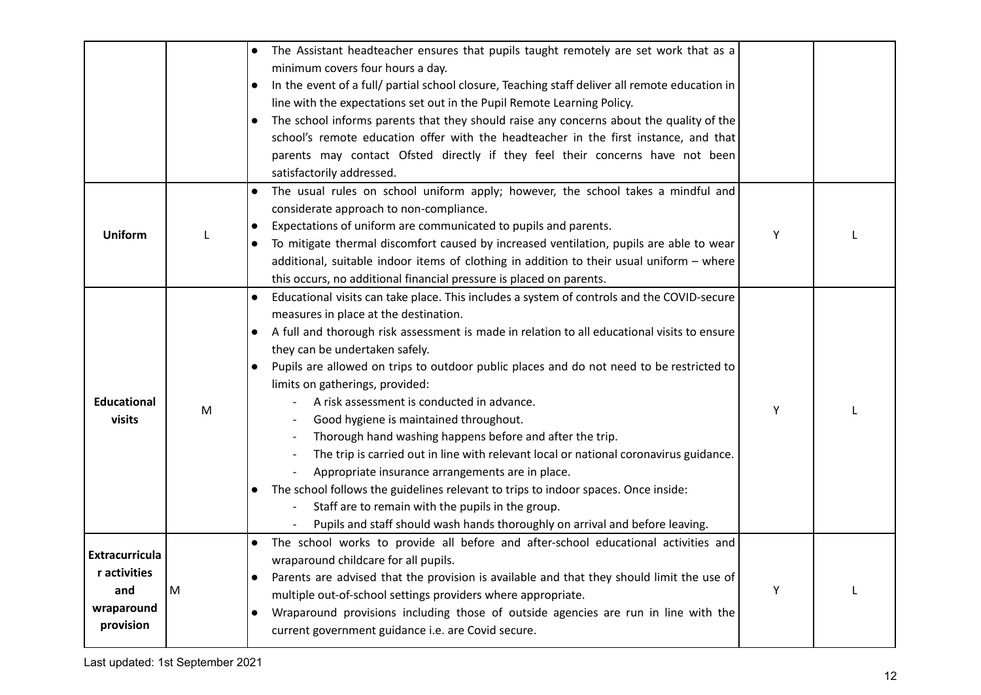|                                                                         |   | The Assistant headteacher ensures that pupils taught remotely are set work that as a<br>minimum covers four hours a day.<br>In the event of a full/ partial school closure, Teaching staff deliver all remote education in<br>$\bullet$<br>line with the expectations set out in the Pupil Remote Learning Policy.<br>The school informs parents that they should raise any concerns about the quality of the<br>school's remote education offer with the headteacher in the first instance, and that<br>parents may contact Ofsted directly if they feel their concerns have not been<br>satisfactorily addressed.                                                                                                                                                                                                                                                                                                                                       |   |  |
|-------------------------------------------------------------------------|---|-----------------------------------------------------------------------------------------------------------------------------------------------------------------------------------------------------------------------------------------------------------------------------------------------------------------------------------------------------------------------------------------------------------------------------------------------------------------------------------------------------------------------------------------------------------------------------------------------------------------------------------------------------------------------------------------------------------------------------------------------------------------------------------------------------------------------------------------------------------------------------------------------------------------------------------------------------------|---|--|
| <b>Uniform</b>                                                          |   | The usual rules on school uniform apply; however, the school takes a mindful and<br>$\bullet$<br>considerate approach to non-compliance.<br>Expectations of uniform are communicated to pupils and parents.<br>To mitigate thermal discomfort caused by increased ventilation, pupils are able to wear<br>additional, suitable indoor items of clothing in addition to their usual uniform - where<br>this occurs, no additional financial pressure is placed on parents.                                                                                                                                                                                                                                                                                                                                                                                                                                                                                 | Υ |  |
| <b>Educational</b><br>visits                                            | M | Educational visits can take place. This includes a system of controls and the COVID-secure<br>$\bullet$<br>measures in place at the destination.<br>A full and thorough risk assessment is made in relation to all educational visits to ensure<br>they can be undertaken safely.<br>Pupils are allowed on trips to outdoor public places and do not need to be restricted to<br>limits on gatherings, provided:<br>A risk assessment is conducted in advance.<br>Good hygiene is maintained throughout.<br>Thorough hand washing happens before and after the trip.<br>The trip is carried out in line with relevant local or national coronavirus guidance.<br>Appropriate insurance arrangements are in place.<br>The school follows the guidelines relevant to trips to indoor spaces. Once inside:<br>$\bullet$<br>Staff are to remain with the pupils in the group.<br>Pupils and staff should wash hands thoroughly on arrival and before leaving. | Υ |  |
| <b>Extracurricula</b><br>r activities<br>and<br>wraparound<br>provision | M | The school works to provide all before and after-school educational activities and<br>wraparound childcare for all pupils.<br>Parents are advised that the provision is available and that they should limit the use of<br>$\bullet$<br>multiple out-of-school settings providers where appropriate.<br>Wraparound provisions including those of outside agencies are run in line with the<br>$\bullet$<br>current government guidance i.e. are Covid secure.                                                                                                                                                                                                                                                                                                                                                                                                                                                                                             | Υ |  |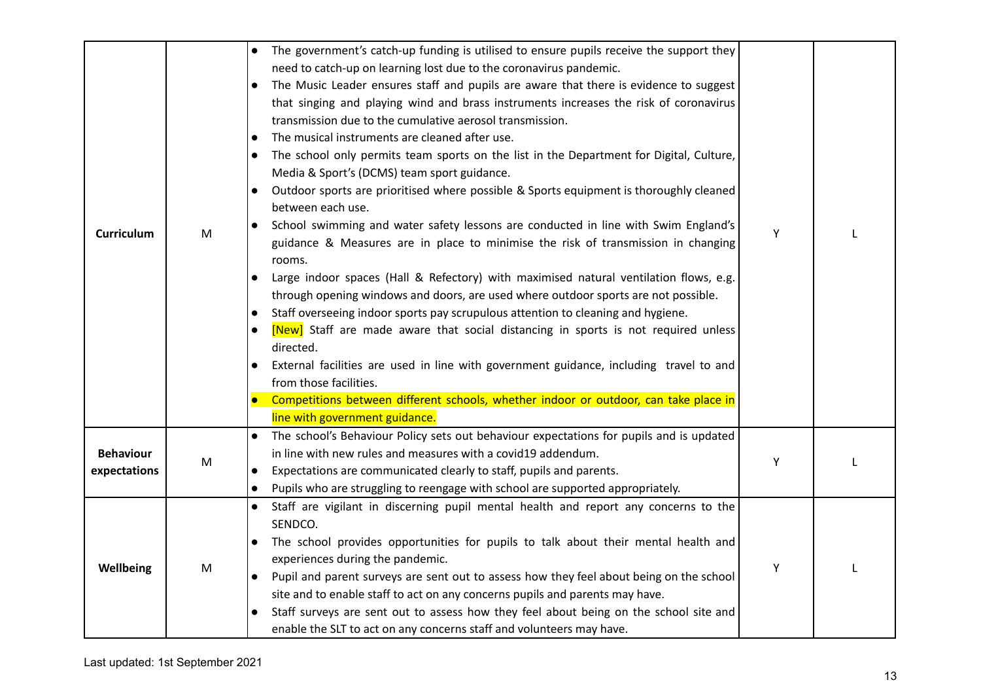| <b>Curriculum</b>                | M | The government's catch-up funding is utilised to ensure pupils receive the support they<br>need to catch-up on learning lost due to the coronavirus pandemic.<br>The Music Leader ensures staff and pupils are aware that there is evidence to suggest<br>$\bullet$<br>that singing and playing wind and brass instruments increases the risk of coronavirus<br>transmission due to the cumulative aerosol transmission.<br>The musical instruments are cleaned after use.<br>$\bullet$<br>The school only permits team sports on the list in the Department for Digital, Culture,<br>$\bullet$<br>Media & Sport's (DCMS) team sport guidance.<br>Outdoor sports are prioritised where possible & Sports equipment is thoroughly cleaned<br>between each use.<br>School swimming and water safety lessons are conducted in line with Swim England's<br>guidance & Measures are in place to minimise the risk of transmission in changing<br>rooms.<br>Large indoor spaces (Hall & Refectory) with maximised natural ventilation flows, e.g.<br>through opening windows and doors, are used where outdoor sports are not possible.<br>Staff overseeing indoor sports pay scrupulous attention to cleaning and hygiene.<br>$\bullet$<br>[New] Staff are made aware that social distancing in sports is not required unless<br>$\bullet$<br>directed.<br>External facilities are used in line with government guidance, including travel to and<br>from those facilities.<br>Competitions between different schools, whether indoor or outdoor, can take place in<br>line with government guidance. | Y |  |
|----------------------------------|---|--------------------------------------------------------------------------------------------------------------------------------------------------------------------------------------------------------------------------------------------------------------------------------------------------------------------------------------------------------------------------------------------------------------------------------------------------------------------------------------------------------------------------------------------------------------------------------------------------------------------------------------------------------------------------------------------------------------------------------------------------------------------------------------------------------------------------------------------------------------------------------------------------------------------------------------------------------------------------------------------------------------------------------------------------------------------------------------------------------------------------------------------------------------------------------------------------------------------------------------------------------------------------------------------------------------------------------------------------------------------------------------------------------------------------------------------------------------------------------------------------------------------------------------------------------------------------------------------------|---|--|
| <b>Behaviour</b><br>expectations | M | The school's Behaviour Policy sets out behaviour expectations for pupils and is updated<br>$\bullet$<br>in line with new rules and measures with a covid19 addendum.<br>Expectations are communicated clearly to staff, pupils and parents.<br>Pupils who are struggling to reengage with school are supported appropriately.<br>$\bullet$                                                                                                                                                                                                                                                                                                                                                                                                                                                                                                                                                                                                                                                                                                                                                                                                                                                                                                                                                                                                                                                                                                                                                                                                                                                       | Υ |  |
| Wellbeing                        | M | Staff are vigilant in discerning pupil mental health and report any concerns to the<br>$\bullet$<br>SENDCO.<br>The school provides opportunities for pupils to talk about their mental health and<br>experiences during the pandemic.<br>Pupil and parent surveys are sent out to assess how they feel about being on the school<br>$\bullet$<br>site and to enable staff to act on any concerns pupils and parents may have.<br>Staff surveys are sent out to assess how they feel about being on the school site and<br>$\bullet$<br>enable the SLT to act on any concerns staff and volunteers may have.                                                                                                                                                                                                                                                                                                                                                                                                                                                                                                                                                                                                                                                                                                                                                                                                                                                                                                                                                                                      | Υ |  |